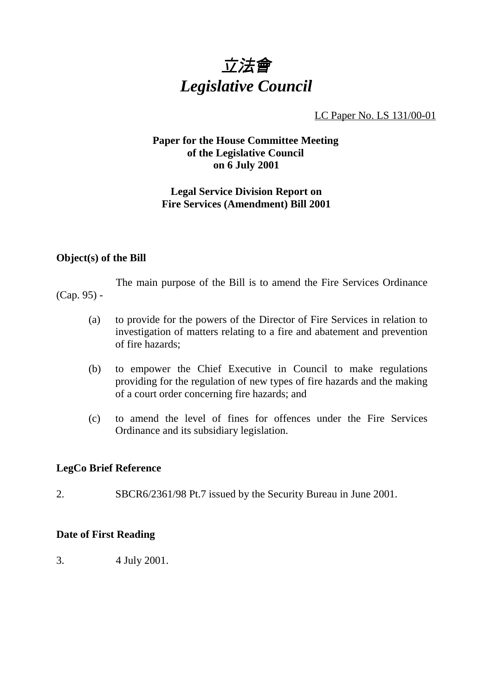

LC Paper No. LS 131/00-01

# **Paper for the House Committee Meeting of the Legislative Council on 6 July 2001**

# **Legal Service Division Report on Fire Services (Amendment) Bill 2001**

# **Object(s) of the Bill**

The main purpose of the Bill is to amend the Fire Services Ordinance (Cap. 95) -

- (a) to provide for the powers of the Director of Fire Services in relation to investigation of matters relating to a fire and abatement and prevention of fire hazards;
- (b) to empower the Chief Executive in Council to make regulations providing for the regulation of new types of fire hazards and the making of a court order concerning fire hazards; and
- (c) to amend the level of fines for offences under the Fire Services Ordinance and its subsidiary legislation.

# **LegCo Brief Reference**

2. SBCR6/2361/98 Pt.7 issued by the Security Bureau in June 2001.

# **Date of First Reading**

3. 4 July 2001.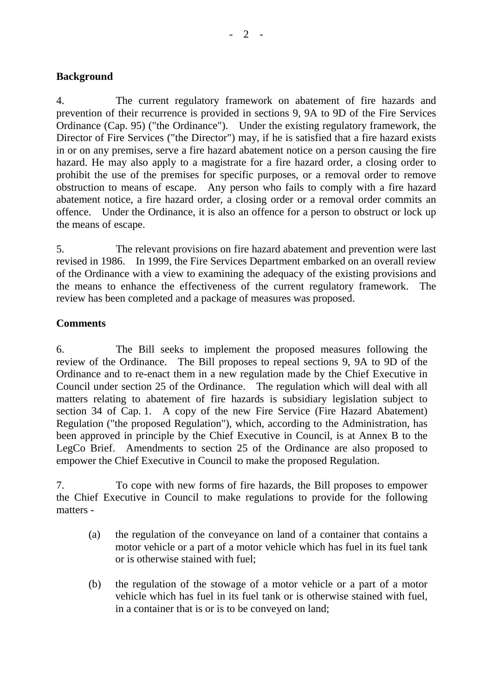# **Background**

4. The current regulatory framework on abatement of fire hazards and prevention of their recurrence is provided in sections 9, 9A to 9D of the Fire Services Ordinance (Cap. 95) ("the Ordinance"). Under the existing regulatory framework, the Director of Fire Services ("the Director") may, if he is satisfied that a fire hazard exists in or on any premises, serve a fire hazard abatement notice on a person causing the fire hazard. He may also apply to a magistrate for a fire hazard order, a closing order to prohibit the use of the premises for specific purposes, or a removal order to remove obstruction to means of escape. Any person who fails to comply with a fire hazard abatement notice, a fire hazard order, a closing order or a removal order commits an offence. Under the Ordinance, it is also an offence for a person to obstruct or lock up the means of escape.

5. The relevant provisions on fire hazard abatement and prevention were last revised in 1986. In 1999, the Fire Services Department embarked on an overall review of the Ordinance with a view to examining the adequacy of the existing provisions and the means to enhance the effectiveness of the current regulatory framework. The review has been completed and a package of measures was proposed.

# **Comments**

6. The Bill seeks to implement the proposed measures following the review of the Ordinance. The Bill proposes to repeal sections 9, 9A to 9D of the Ordinance and to re-enact them in a new regulation made by the Chief Executive in Council under section 25 of the Ordinance. The regulation which will deal with all matters relating to abatement of fire hazards is subsidiary legislation subject to section 34 of Cap. 1. A copy of the new Fire Service (Fire Hazard Abatement) Regulation ("the proposed Regulation"), which, according to the Administration, has been approved in principle by the Chief Executive in Council, is at Annex B to the LegCo Brief. Amendments to section 25 of the Ordinance are also proposed to empower the Chief Executive in Council to make the proposed Regulation.

7. To cope with new forms of fire hazards, the Bill proposes to empower the Chief Executive in Council to make regulations to provide for the following matters -

- (a) the regulation of the conveyance on land of a container that contains a motor vehicle or a part of a motor vehicle which has fuel in its fuel tank or is otherwise stained with fuel;
- (b) the regulation of the stowage of a motor vehicle or a part of a motor vehicle which has fuel in its fuel tank or is otherwise stained with fuel, in a container that is or is to be conveyed on land;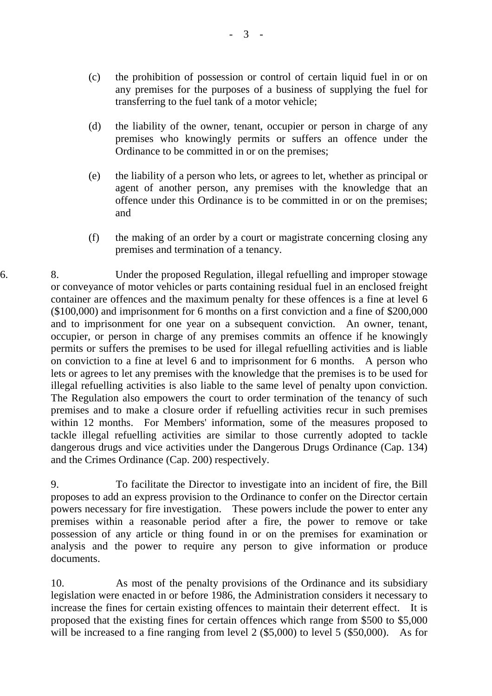- (c) the prohibition of possession or control of certain liquid fuel in or on any premises for the purposes of a business of supplying the fuel for transferring to the fuel tank of a motor vehicle;
- (d) the liability of the owner, tenant, occupier or person in charge of any premises who knowingly permits or suffers an offence under the Ordinance to be committed in or on the premises;
- (e) the liability of a person who lets, or agrees to let, whether as principal or agent of another person, any premises with the knowledge that an offence under this Ordinance is to be committed in or on the premises; and
- (f) the making of an order by a court or magistrate concerning closing any premises and termination of a tenancy.

6. 8. Under the proposed Regulation, illegal refuelling and improper stowage or conveyance of motor vehicles or parts containing residual fuel in an enclosed freight container are offences and the maximum penalty for these offences is a fine at level 6 (\$100,000) and imprisonment for 6 months on a first conviction and a fine of \$200,000 and to imprisonment for one year on a subsequent conviction. An owner, tenant, occupier, or person in charge of any premises commits an offence if he knowingly permits or suffers the premises to be used for illegal refuelling activities and is liable on conviction to a fine at level 6 and to imprisonment for 6 months. A person who lets or agrees to let any premises with the knowledge that the premises is to be used for illegal refuelling activities is also liable to the same level of penalty upon conviction. The Regulation also empowers the court to order termination of the tenancy of such premises and to make a closure order if refuelling activities recur in such premises within 12 months. For Members' information, some of the measures proposed to tackle illegal refuelling activities are similar to those currently adopted to tackle dangerous drugs and vice activities under the Dangerous Drugs Ordinance (Cap. 134) and the Crimes Ordinance (Cap. 200) respectively.

> 9. To facilitate the Director to investigate into an incident of fire, the Bill proposes to add an express provision to the Ordinance to confer on the Director certain powers necessary for fire investigation. These powers include the power to enter any premises within a reasonable period after a fire, the power to remove or take possession of any article or thing found in or on the premises for examination or analysis and the power to require any person to give information or produce documents.

> 10. As most of the penalty provisions of the Ordinance and its subsidiary legislation were enacted in or before 1986, the Administration considers it necessary to increase the fines for certain existing offences to maintain their deterrent effect. It is proposed that the existing fines for certain offences which range from \$500 to \$5,000 will be increased to a fine ranging from level 2 (\$5,000) to level 5 (\$50,000). As for